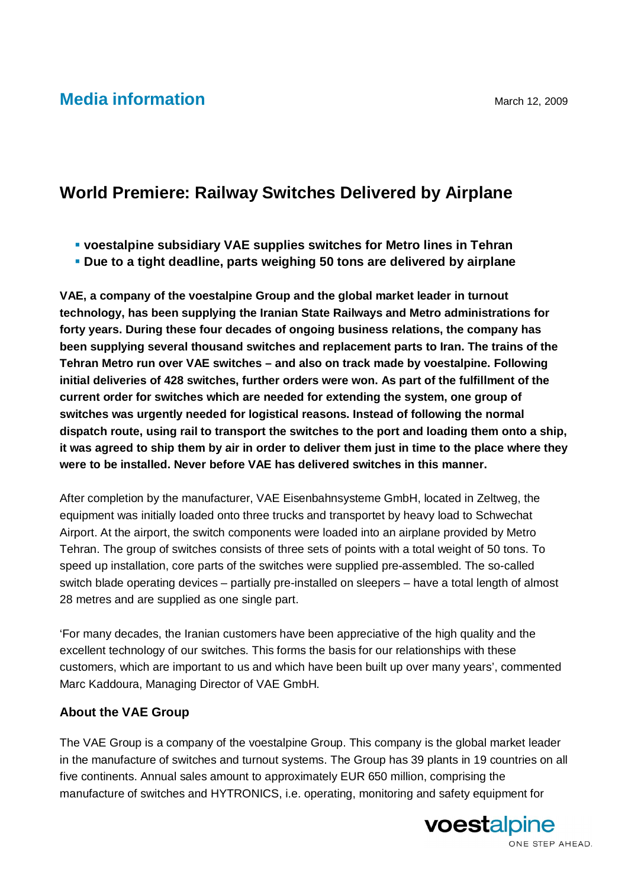## **Media information** March 12, 2009

## **World Premiere: Railway Switches Delivered by Airplane**

- **voestalpine subsidiary VAE supplies switches for Metro lines in Tehran**
- **Due to a tight deadline, parts weighing 50 tons are delivered by airplane**

**VAE, a company of the voestalpine Group and the global market leader in turnout technology, has been supplying the Iranian State Railways and Metro administrations for forty years. During these four decades of ongoing business relations, the company has been supplying several thousand switches and replacement parts to Iran. The trains of the Tehran Metro run over VAE switches – and also on track made by voestalpine. Following initial deliveries of 428 switches, further orders were won. As part of the fulfillment of the current order for switches which are needed for extending the system, one group of switches was urgently needed for logistical reasons. Instead of following the normal dispatch route, using rail to transport the switches to the port and loading them onto a ship, it was agreed to ship them by air in order to deliver them just in time to the place where they were to be installed. Never before VAE has delivered switches in this manner.**

After completion by the manufacturer, VAE Eisenbahnsysteme GmbH, located in Zeltweg, the equipment was initially loaded onto three trucks and transportet by heavy load to Schwechat Airport. At the airport, the switch components were loaded into an airplane provided by Metro Tehran. The group of switches consists of three sets of points with a total weight of 50 tons. To speed up installation, core parts of the switches were supplied pre-assembled. The so-called switch blade operating devices – partially pre-installed on sleepers – have a total length of almost 28 metres and are supplied as one single part.

'For many decades, the Iranian customers have been appreciative of the high quality and the excellent technology of our switches. This forms the basis for our relationships with these customers, which are important to us and which have been built up over many years', commented Marc Kaddoura, Managing Director of VAE GmbH.

## **About the VAE Group**

The VAE Group is a company of the voestalpine Group. This company is the global market leader in the manufacture of switches and turnout systems. The Group has 39 plants in 19 countries on all five continents. Annual sales amount to approximately EUR 650 million, comprising the manufacture of switches and HYTRONICS, i.e. operating, monitoring and safety equipment for